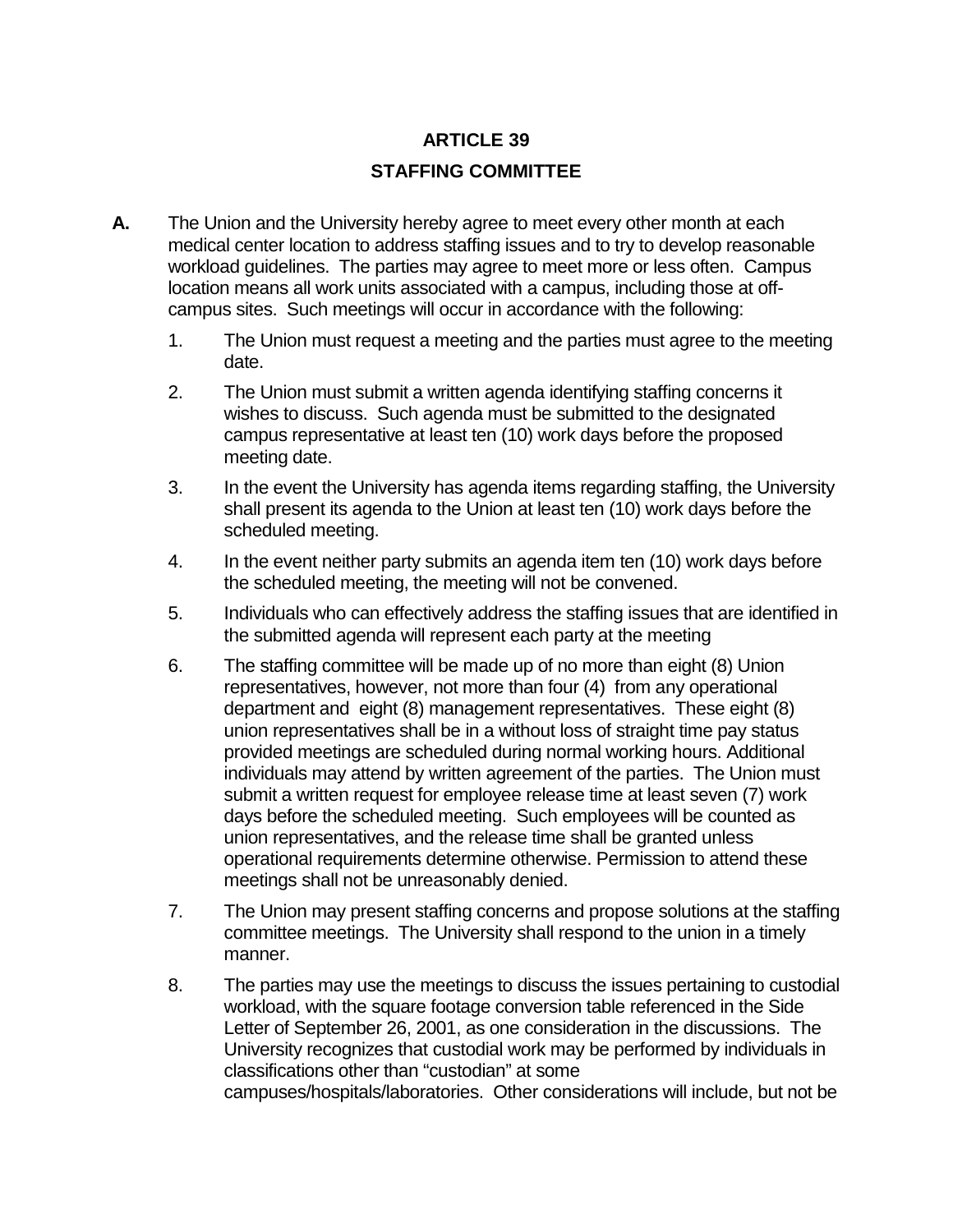## **ARTICLE 39 STAFFING COMMITTEE**

- **A.** The Union and the University hereby agree to meet every other month at each medical center location to address staffing issues and to try to develop reasonable workload guidelines. The parties may agree to meet more or less often. Campus location means all work units associated with a campus, including those at offcampus sites. Such meetings will occur in accordance with the following:
	- 1. The Union must request a meeting and the parties must agree to the meeting date.
	- 2. The Union must submit a written agenda identifying staffing concerns it wishes to discuss. Such agenda must be submitted to the designated campus representative at least ten (10) work days before the proposed meeting date.
	- 3. In the event the University has agenda items regarding staffing, the University shall present its agenda to the Union at least ten (10) work days before the scheduled meeting.
	- 4. In the event neither party submits an agenda item ten (10) work days before the scheduled meeting, the meeting will not be convened.
	- 5. Individuals who can effectively address the staffing issues that are identified in the submitted agenda will represent each party at the meeting
	- 6. The staffing committee will be made up of no more than eight (8) Union representatives, however, not more than four (4) from any operational department and eight (8) management representatives. These eight (8) union representatives shall be in a without loss of straight time pay status provided meetings are scheduled during normal working hours. Additional individuals may attend by written agreement of the parties. The Union must submit a written request for employee release time at least seven (7) work days before the scheduled meeting. Such employees will be counted as union representatives, and the release time shall be granted unless operational requirements determine otherwise. Permission to attend these meetings shall not be unreasonably denied.
	- 7. The Union may present staffing concerns and propose solutions at the staffing committee meetings. The University shall respond to the union in a timely manner.
	- 8. The parties may use the meetings to discuss the issues pertaining to custodial workload, with the square footage conversion table referenced in the Side Letter of September 26, 2001, as one consideration in the discussions. The University recognizes that custodial work may be performed by individuals in classifications other than "custodian" at some campuses/hospitals/laboratories. Other considerations will include, but not be